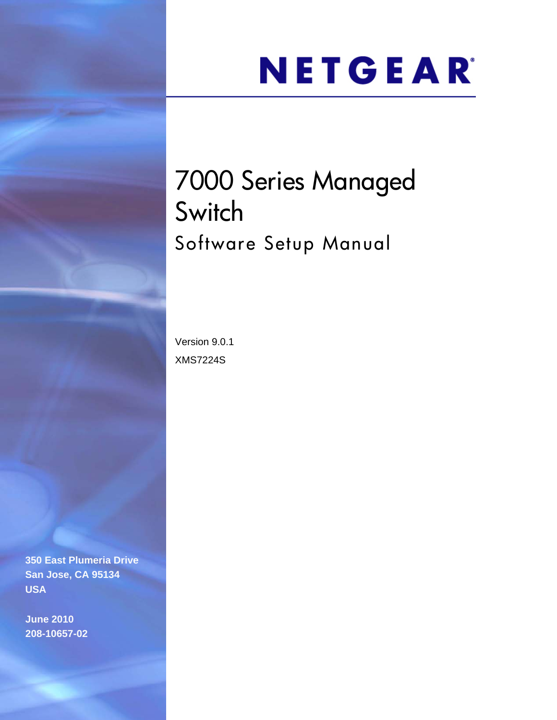# NETGEAR®

# 7000 Series Managed **Switch** Software Setup Manual

Version 9.0.1 XMS7224S

**350 East Plumeria Drive San Jose, CA 95134 USA**

**June 2010 208-10657-02**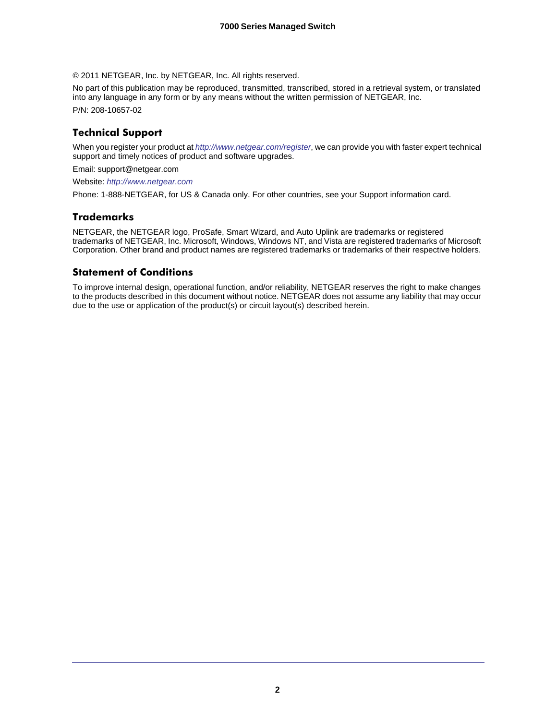© 2011 NETGEAR, Inc. by NETGEAR, Inc. All rights reserved.

No part of this publication may be reproduced, transmitted, transcribed, stored in a retrieval system, or translated into any language in any form or by any means without the written permission of NETGEAR, Inc.

P/N: 208-10657-02

#### **Technical Support**

When you register your product at *<http://www.netgear.com/register>*, we can provide you with faster expert technical support and timely notices of product and software upgrades.

Email: support@netgear.com

Website: *<http://www.netgear.com>*

Phone: 1-888-NETGEAR, for US & Canada only. For other countries, see your Support information card.

#### **Trademarks**

NETGEAR, the NETGEAR logo, ProSafe, Smart Wizard, and Auto Uplink are trademarks or registered trademarks of NETGEAR, Inc. Microsoft, Windows, Windows NT, and Vista are registered trademarks of Microsoft Corporation. Other brand and product names are registered trademarks or trademarks of their respective holders.

#### **Statement of Conditions**

To improve internal design, operational function, and/or reliability, NETGEAR reserves the right to make changes to the products described in this document without notice. NETGEAR does not assume any liability that may occur due to the use or application of the product(s) or circuit layout(s) described herein.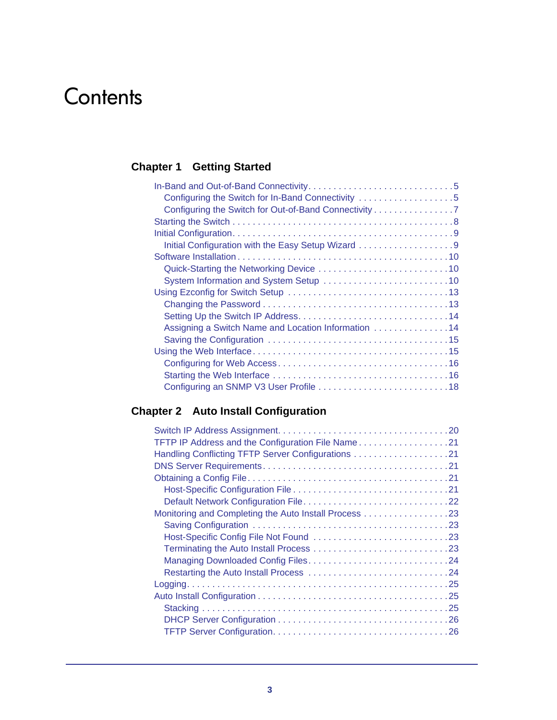# **Contents**

#### **Chapter 1 [Getting Started](#page-4-0)**

| Configuring the Switch for In-Band Connectivity 5     |
|-------------------------------------------------------|
| Configuring the Switch for Out-of-Band Connectivity 7 |
|                                                       |
|                                                       |
| Initial Configuration with the Easy Setup Wizard 9    |
|                                                       |
|                                                       |
|                                                       |
|                                                       |
|                                                       |
|                                                       |
| Assigning a Switch Name and Location Information 14   |
|                                                       |
|                                                       |
|                                                       |
|                                                       |
|                                                       |

#### **Chapter 2 [Auto Install Configuration](#page-19-0)**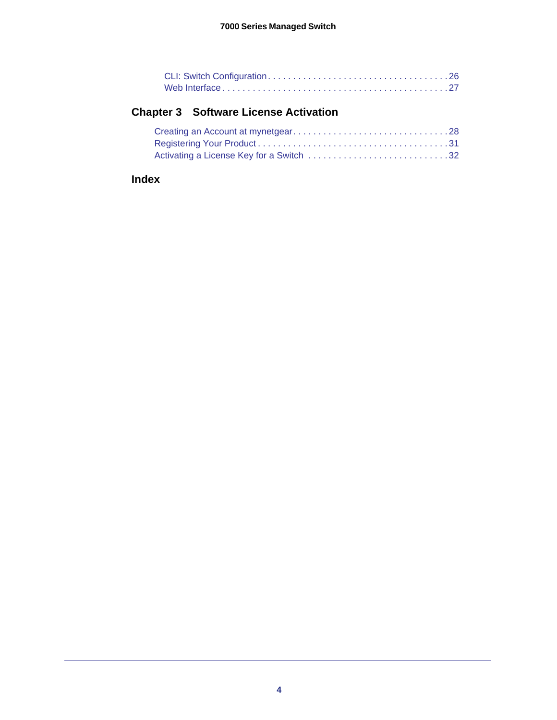#### **Chapter 3 [Software License Activation](#page-27-0)**

| Activating a License Key for a Switch 32 |  |
|------------------------------------------|--|

#### **[Index](#page-35-0)**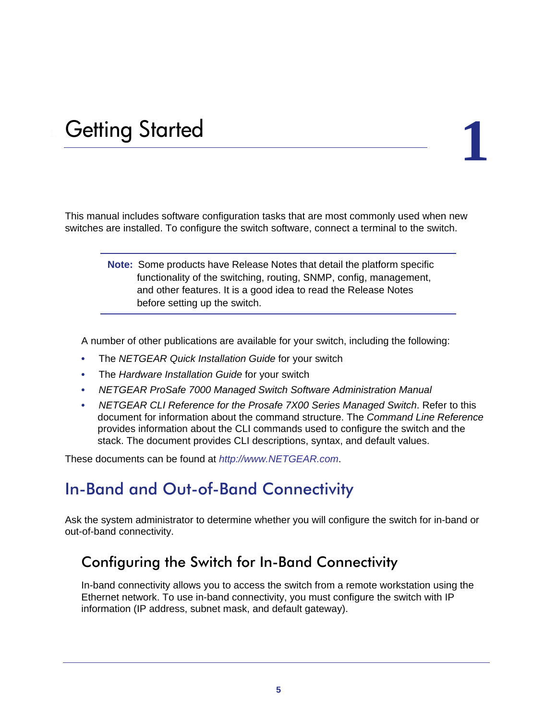# <span id="page-4-0"></span>**Getting Started**

This manual includes software configuration tasks that are most commonly used when new switches are installed. To configure the switch software, connect a terminal to the switch.

> **Note:** Some products have Release Notes that detail the platform specific functionality of the switching, routing, SNMP, config, management, and other features. It is a good idea to read the Release Notes before setting up the switch.

A number of other publications are available for your switch, including the following:

- The *NETGEAR Quick Installation Guide* for your switch
- The *Hardware Installation Guide* for your switch
- *NETGEAR ProSafe 7000 Managed Switch Software Administration Manual*
- *NETGEAR CLI Reference for the Prosafe 7X00 Series Managed Switch*. Refer to this document for information about the command structure. The *Command Line Reference* provides information about the CLI commands used to configure the switch and the stack. The document provides CLI descriptions, syntax, and default values.

<span id="page-4-3"></span>These documents can be found at *<http://www.NETGEAR.com>*.

#### <span id="page-4-1"></span>In-Band and Out-of-Band Connectivity

Ask the system administrator to determine whether you will configure the switch for in-band or out-of-band connectivity.

#### <span id="page-4-2"></span>Configuring the Switch for In-Band Connectivity

In-band connectivity allows you to access the switch from a remote workstation using the Ethernet network. To use in-band connectivity, you must configure the switch with IP information (IP address, subnet mask, and default gateway).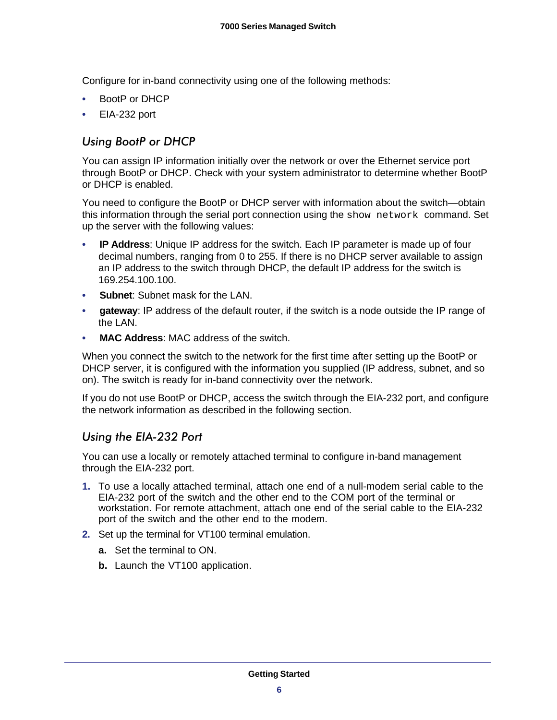Configure for in-band connectivity using one of the following methods:

- <span id="page-5-2"></span><span id="page-5-1"></span>**•** BootP or DHCP
- <span id="page-5-3"></span>**•** EIA-232 port

*Using BootP or DHCP* You can assign IP information initially over the network or over the Ethernet service port through BootP or DHCP. Check with your system administrator to determine whether BootP or DHCP is enabled.

You need to configure the BootP or DHCP server with information about the switch—obtain this information through the serial port connection using the show network command. Set up the server with the following values:

- **IP Address**: Unique IP address for the switch. Each IP parameter is made up of four decimal numbers, ranging from 0 to 255. If there is no DHCP server available to assign an IP address to the switch through DHCP, the default IP address for the switch is 169.254.100.100.
- **Subnet:** Subnet mask for the LAN.
- **gateway**: IP address of the default router, if the switch is a node outside the IP range of the LAN.
- **MAC Address**: MAC address of the switch.

When you connect the switch to the network for the first time after setting up the BootP or DHCP server, it is configured with the information you supplied (IP address, subnet, and so on). The switch is ready for in-band connectivity over the network.

If you do not use BootP or DHCP, access the switch through the EIA-232 port, and configure the network information as described in the following section.

# <span id="page-5-0"></span>*Using the EIA-232 Port*

You can use a locally or remotely attached terminal to configure in-band management through the EIA-232 port.

- **1.** To use a locally attached terminal, attach one end of a null-modem serial cable to the EIA-232 port of the switch and the other end to the COM port of the terminal or workstation. For remote attachment, attach one end of the serial cable to the EIA-232 port of the switch and the other end to the modem.
- **2.** Set up the terminal for VT100 terminal emulation.
	- **a.** Set the terminal to ON.
	- **b.** Launch the VT100 application.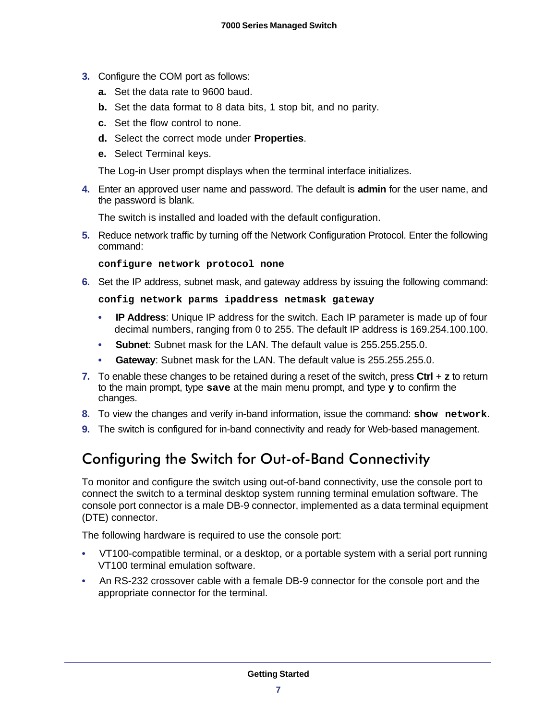- **3.** Configure the COM port as follows:
	- **a.** Set the data rate to 9600 baud.
	- **b.** Set the data format to 8 data bits, 1 stop bit, and no parity.
	- **c.** Set the flow control to none.
	- **d.** Select the correct mode under **Properties**.
	- **e.** Select Terminal keys.

The Log-in User prompt displays when the terminal interface initializes.

**4.** Enter an approved user name and password. The default is **admin** for the user name, and the password is blank.

The switch is installed and loaded with the default configuration.

**5.** Reduce network traffic by turning off the Network Configuration Protocol. Enter the following command:

**configure network protocol none**

**6.** Set the IP address, subnet mask, and gateway address by issuing the following command:

**config network parms ipaddress netmask gateway**

- **IP Address**: Unique IP address for the switch. Each IP parameter is made up of four decimal numbers, ranging from 0 to 255. The default IP address is 169.254.100.100.
- **Subnet**: Subnet mask for the LAN. The default value is 255.255.255.0.
- **Gateway**: Subnet mask for the LAN. The default value is 255.255.255.0.
- **7.** To enable these changes to be retained during a reset of the switch, press **Ctrl** + **z** to return to the main prompt, type **save** at the main menu prompt, and type **y** to confirm the changes.
- **8.** To view the changes and verify in-band information, issue the command: **show network**.
- **9.** The switch is configured for in-band connectivity and ready for Web-based management.

#### <span id="page-6-0"></span>Configuring the Switch for Out-of-Band Connectivity

<span id="page-6-1"></span>To monitor and configure the switch using out-of-band connectivity, use the console port to connect the switch to a terminal desktop system running terminal emulation software. The console port connector is a male DB-9 connector, implemented as a data terminal equipment (DTE) connector.

The following hardware is required to use the console port:

- VT100-compatible terminal, or a desktop, or a portable system with a serial port running VT100 terminal emulation software.
- An RS-232 crossover cable with a female DB-9 connector for the console port and the appropriate connector for the terminal.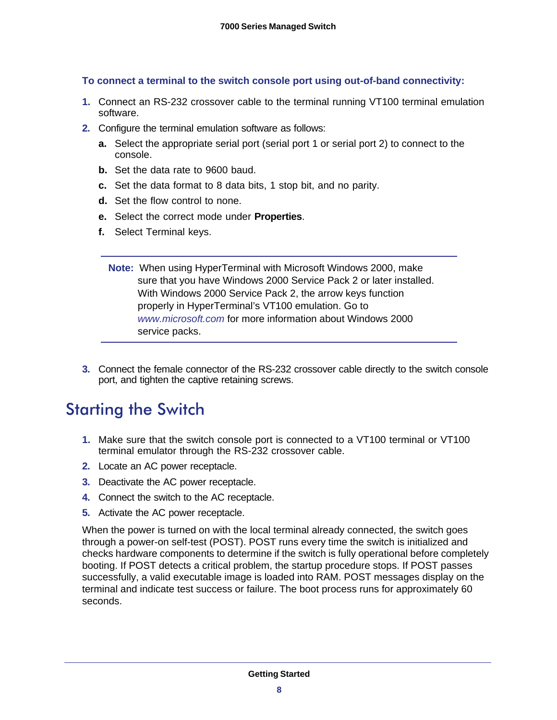#### **To connect a terminal to the switch console port using out-of-band connectivity:**

- **1.** Connect an RS-232 crossover cable to the terminal running VT100 terminal emulation software.
- **2.** Configure the terminal emulation software as follows:
	- **a.** Select the appropriate serial port (serial port 1 or serial port 2) to connect to the console.
	- **b.** Set the data rate to 9600 baud.
	- **c.** Set the data format to 8 data bits, 1 stop bit, and no parity.
	- **d.** Set the flow control to none.
	- **e.** Select the correct mode under **Properties**.
	- **f.** Select Terminal keys.
		- **Note:** When using HyperTerminal with Microsoft Windows 2000, make sure that you have Windows 2000 Service Pack 2 or later installed. With Windows 2000 Service Pack 2, the arrow keys function properly in HyperTerminal's VT100 emulation. Go to *[www.microsoft.com](http://www.microsoft.com)* for more information about Windows 2000 service packs.
- <span id="page-7-1"></span>**3.** Connect the female connector of the RS-232 crossover cable directly to the switch console port, and tighten the captive retaining screws.

# <span id="page-7-0"></span>Starting the Switch

- **1.** Make sure that the switch console port is connected to a VT100 terminal or VT100 terminal emulator through the RS-232 crossover cable.
- **2.** Locate an AC power receptacle.
- **3.** Deactivate the AC power receptacle.
- **4.** Connect the switch to the AC receptacle.
- **5.** Activate the AC power receptacle.

When the power is turned on with the local terminal already connected, the switch goes through a power-on self-test (POST). POST runs every time the switch is initialized and checks hardware components to determine if the switch is fully operational before completely booting. If POST detects a critical problem, the startup procedure stops. If POST passes successfully, a valid executable image is loaded into RAM. POST messages display on the terminal and indicate test success or failure. The boot process runs for approximately 60 seconds.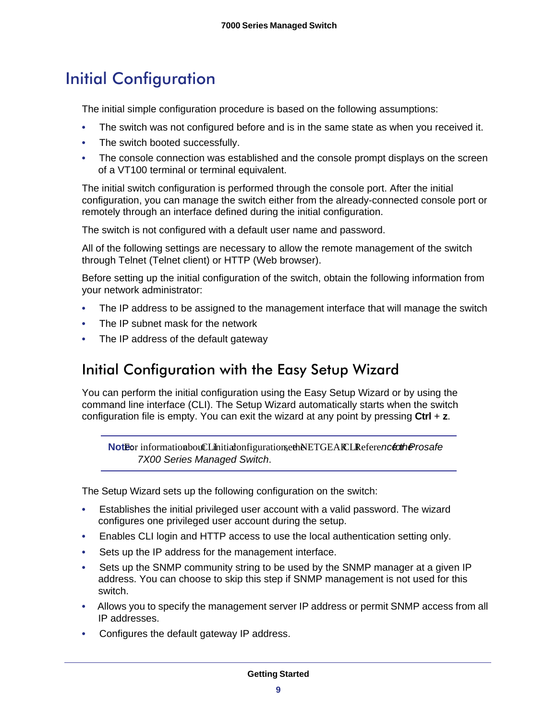# <span id="page-8-0"></span>Initial Configuration

The initial simple configuration procedure is based on the following assumptions:

- The switch was not configured before and is in the same state as when you received it.
- The switch booted successfully.
- The console connection was established and the console prompt displays on the screen of a VT100 terminal or terminal equivalent.

The initial switch configuration is performed through the console port. After the initial configuration, you can manage the switch either from the already-connected console port or remotely through an interface defined during the initial configuration.

The switch is not configured with a default user name and password.

All of the following settings are necessary to allow the remote management of the switch through Telnet (Telnet client) or HTTP (Web browser).

Before setting up the initial configuration of the switch, obtain the following information from your network administrator:

- The IP address to be assigned to the management interface that will manage the switch
- The IP subnet mask for the network
- The IP address of the default gateway

#### <span id="page-8-1"></span>Initial Configuration with the Easy Setup Wizard

You can perform the initial configuration using the Easy Setup Wizard or by using the command line interface (CLI). The Setup Wizard automatically starts when the switch configuration file is empty. You can exit the wizard at any point by pressing **Ctrl** + **z**.

<span id="page-8-2"></span>**NotEor** information bout CLI initiation figurations et hNETGEAR CLI Reference for herosafe *7X00 Series Managed Switch*.

The Setup Wizard sets up the following configuration on the switch:

- Establishes the initial privileged user account with a valid password. The wizard configures one privileged user account during the setup.
- Enables CLI login and HTTP access to use the local authentication setting only.
- Sets up the IP address for the management interface.
- Sets up the SNMP community string to be used by the SNMP manager at a given IP address. You can choose to skip this step if SNMP management is not used for this switch.
- Allows you to specify the management server IP address or permit SNMP access from all IP addresses.
- Configures the default gateway IP address.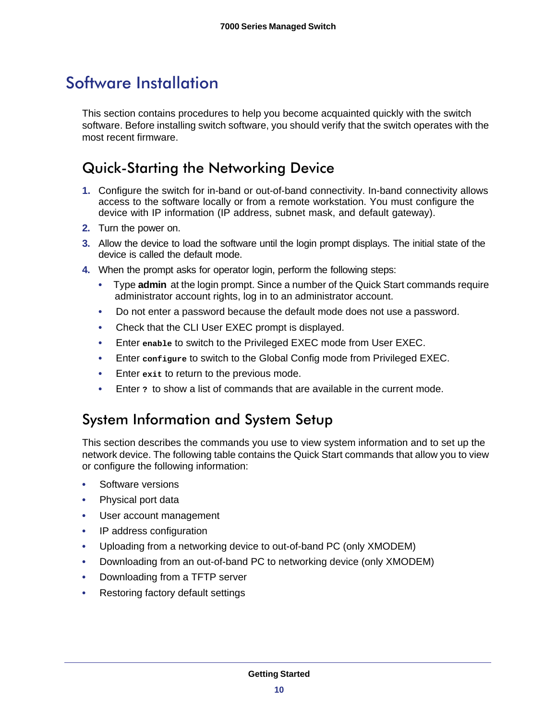# <span id="page-9-3"></span><span id="page-9-0"></span>Software Installation

This section contains procedures to help you become acquainted quickly with the switch software. Before installing switch software, you should verify that the switch operates with the most recent firmware.

### <span id="page-9-1"></span>Quick-Starting the Networking Device

- **1.** Configure the switch for in-band or out-of-band connectivity. In-band connectivity allows access to the software locally or from a remote workstation. You must configure the device with IP information (IP address, subnet mask, and default gateway).
- **2.** Turn the power on.
- **3.** Allow the device to load the software until the login prompt displays. The initial state of the device is called the default mode.
- **4.** When the prompt asks for operator login, perform the following steps:
	- Type **admin** at the login prompt. Since a number of the Quick Start commands require administrator account rights, log in to an administrator account.
	- Do not enter a password because the default mode does not use a password.
	- Check that the CLI User EXEC prompt is displayed.
	- Enter **enable** to switch to the Privileged EXEC mode from User EXEC.
	- Enter **configure** to switch to the Global Config mode from Privileged EXEC.
	- Enter **exit** to return to the previous mode.
	- Enter **?** to show a list of commands that are available in the current mode.

#### <span id="page-9-2"></span>System Information and System Setup

This section describes the commands you use to view system information and to set up the network device. The following table contains the Quick Start commands that allow you to view or configure the following information:

- Software versions
- Physical port data
- User account management
- IP address configuration
- Uploading from a networking device to out-of-band PC (only XMODEM)
- Downloading from an out-of-band PC to networking device (only XMODEM)
- Downloading from a TFTP server
- Restoring factory default settings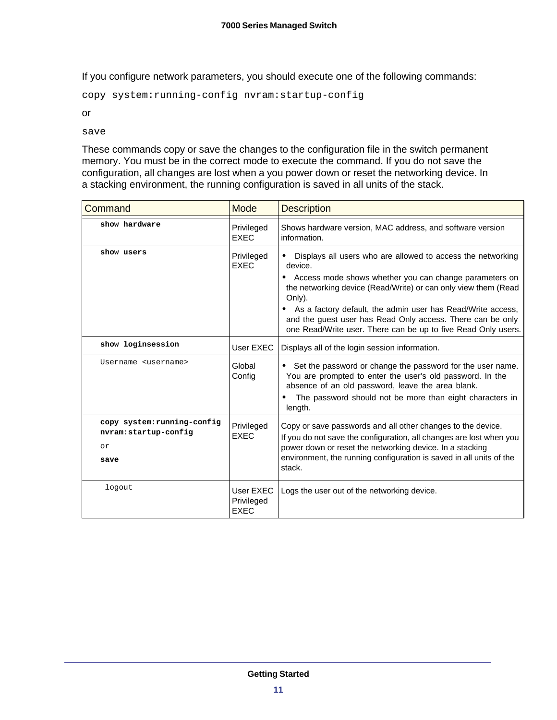If you configure network parameters, you should execute one of the following commands:

copy system:running-config nvram:startup-config

or

save

These commands copy or save the changes to the configuration file in the switch permanent memory. You must be in the correct mode to execute the command. If you do not save the configuration, all changes are lost when a you power down or reset the networking device. In a stacking environment, the running configuration is saved in all units of the stack.

<span id="page-10-0"></span>

| Command                                                           | Mode                                   | <b>Description</b>                                                                                                                                                                                                                                                                                                                                                                                           |
|-------------------------------------------------------------------|----------------------------------------|--------------------------------------------------------------------------------------------------------------------------------------------------------------------------------------------------------------------------------------------------------------------------------------------------------------------------------------------------------------------------------------------------------------|
| show hardware                                                     | Privileged<br><b>EXEC</b>              | Shows hardware version, MAC address, and software version<br>information.                                                                                                                                                                                                                                                                                                                                    |
| show users                                                        | Privileged<br><b>EXEC</b>              | Displays all users who are allowed to access the networking<br>device.<br>• Access mode shows whether you can change parameters on<br>the networking device (Read/Write) or can only view them (Read<br>Only).<br>As a factory default, the admin user has Read/Write access,<br>and the guest user has Read Only access. There can be only<br>one Read/Write user. There can be up to five Read Only users. |
| show loginsession                                                 | User EXEC                              | Displays all of the login session information.                                                                                                                                                                                                                                                                                                                                                               |
| Username <username></username>                                    | Global<br>Config                       | • Set the password or change the password for the user name.<br>You are prompted to enter the user's old password. In the<br>absence of an old password, leave the area blank.<br>The password should not be more than eight characters in<br>length.                                                                                                                                                        |
| copy system: running-config<br>nvram:startup-config<br>or<br>save | Privileged<br><b>EXEC</b>              | Copy or save passwords and all other changes to the device.<br>If you do not save the configuration, all changes are lost when you<br>power down or reset the networking device. In a stacking<br>environment, the running configuration is saved in all units of the<br>stack.                                                                                                                              |
| logout                                                            | User EXEC<br>Privileged<br><b>EXEC</b> | Logs the user out of the networking device.                                                                                                                                                                                                                                                                                                                                                                  |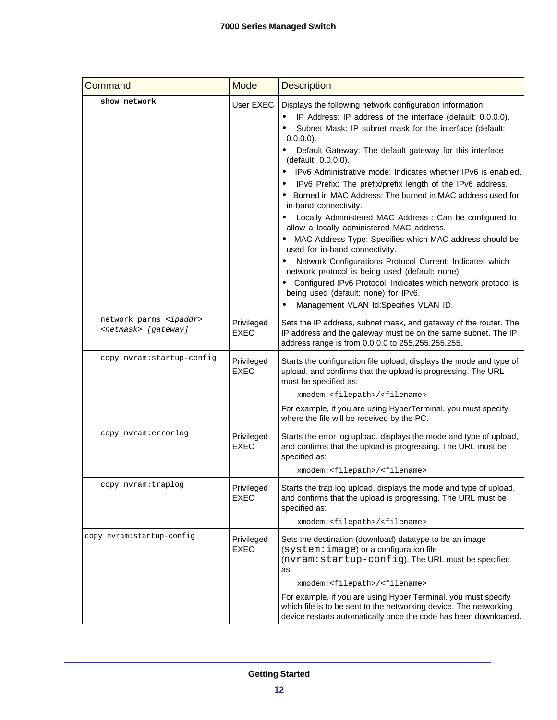| Command                                                           | Mode                      | <b>Description</b>                                                                                                                                                                                                                                                                                                                                                                                                                                                                                                                                                                                                                                                                                                                                                                                                                                                                                                                                                                   |
|-------------------------------------------------------------------|---------------------------|--------------------------------------------------------------------------------------------------------------------------------------------------------------------------------------------------------------------------------------------------------------------------------------------------------------------------------------------------------------------------------------------------------------------------------------------------------------------------------------------------------------------------------------------------------------------------------------------------------------------------------------------------------------------------------------------------------------------------------------------------------------------------------------------------------------------------------------------------------------------------------------------------------------------------------------------------------------------------------------|
| show network                                                      | User EXEC                 | Displays the following network configuration information:<br>IP Address: IP address of the interface (default: 0.0.0.0).<br>Subnet Mask: IP subnet mask for the interface (default:<br>$0.0.0.0$ ).<br>Default Gateway: The default gateway for this interface<br>(default: 0.0.0.0).<br>IPv6 Administrative mode: Indicates whether IPv6 is enabled.<br>IPv6 Prefix: The prefix/prefix length of the IPv6 address.<br>• Burned in MAC Address: The burned in MAC address used for<br>in-band connectivity.<br>Locally Administered MAC Address: Can be configured to<br>allow a locally administered MAC address.<br>• MAC Address Type: Specifies which MAC address should be<br>used for in-band connectivity.<br>Network Configurations Protocol Current: Indicates which<br>network protocol is being used (default: none).<br>• Configured IPv6 Protocol: Indicates which network protocol is<br>being used (default: none) for IPv6.<br>Management VLAN Id:Specifies VLAN ID. |
| network parms <ipaddr><br/><netmask> [gateway]</netmask></ipaddr> | Privileged<br><b>EXEC</b> | Sets the IP address, subnet mask, and gateway of the router. The<br>IP address and the gateway must be on the same subnet. The IP<br>address range is from 0.0.0.0 to 255.255.255.255.                                                                                                                                                                                                                                                                                                                                                                                                                                                                                                                                                                                                                                                                                                                                                                                               |
| copy nvram: startup-config                                        | Privileged<br><b>EXEC</b> | Starts the configuration file upload, displays the mode and type of<br>upload, and confirms that the upload is progressing. The URL<br>must be specified as:<br>xmodem: <filepath>/<filename><br/>For example, if you are using HyperTerminal, you must specify<br/>where the file will be received by the PC.</filename></filepath>                                                                                                                                                                                                                                                                                                                                                                                                                                                                                                                                                                                                                                                 |
| copy nvram:errorlog                                               | Privileged<br><b>EXEC</b> | Starts the error log upload, displays the mode and type of upload,<br>and confirms that the upload is progressing. The URL must be<br>specified as:<br>xmodem: <filepath>/<filename></filename></filepath>                                                                                                                                                                                                                                                                                                                                                                                                                                                                                                                                                                                                                                                                                                                                                                           |
| copy nvram:traplog                                                | Privileged<br><b>EXEC</b> | Starts the trap log upload, displays the mode and type of upload,<br>and confirms that the upload is progressing. The URL must be<br>specified as:<br>xmodem: <filepath>/<filename></filename></filepath>                                                                                                                                                                                                                                                                                                                                                                                                                                                                                                                                                                                                                                                                                                                                                                            |
| copy nvram:startup-config                                         | Privileged<br><b>EXEC</b> | Sets the destination (download) datatype to be an image<br>(system: image) or a configuration file<br>(nvram: startup-config). The URL must be specified<br>as:<br>xmodem: <filepath>/<filename><br/>For example, if you are using Hyper Terminal, you must specify<br/>which file is to be sent to the networking device. The networking<br/>device restarts automatically once the code has been downloaded.</filename></filepath>                                                                                                                                                                                                                                                                                                                                                                                                                                                                                                                                                 |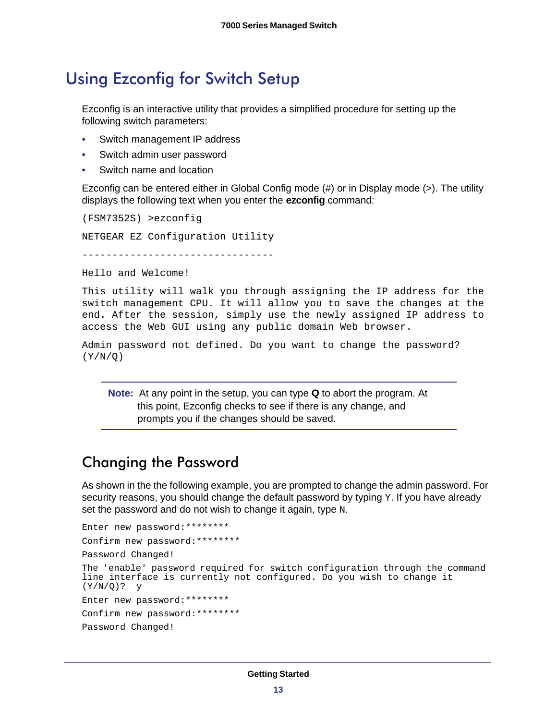# <span id="page-12-2"></span><span id="page-12-0"></span>Using Ezconfig for Switch Setup

Ezconfig is an interactive utility that provides a simplified procedure for setting up the following switch parameters:

- Switch management IP address
- Switch admin user password
- Switch name and location

Ezconfig can be entered either in Global Config mode (#) or in Display mode (>). The utility displays the following text when you enter the **ezconfig** command:

(FSM7352S) >ezconfig NETGEAR EZ Configuration Utility --------------------------------

Hello and Welcome!

This utility will walk you through assigning the IP address for the switch management CPU. It will allow you to save the changes at the end. After the session, simply use the newly assigned IP address to access the Web GUI using any public domain Web browser.

```
Admin password not defined. Do you want to change the password? 
(Y/N/O)
```
<span id="page-12-3"></span>**Note:** At any point in the setup, you can type **Q** to abort the program. At this point, Ezconfig checks to see if there is any change, and prompts you if the changes should be saved.

#### <span id="page-12-1"></span>Changing the Password

As shown in the the following example, you are prompted to change the admin password. For security reasons, you should change the default password by typing  $Y$ . If you have already set the password and do not wish to change it again, type N.

```
Enter new password:********
Confirm new password:********
Password Changed!
The 'enable' password required for switch configuration through the command 
line interface is currently not configured. Do you wish to change it 
(Y/N/Q)? y
Enter new password:********
Confirm new password:********
Password Changed!
```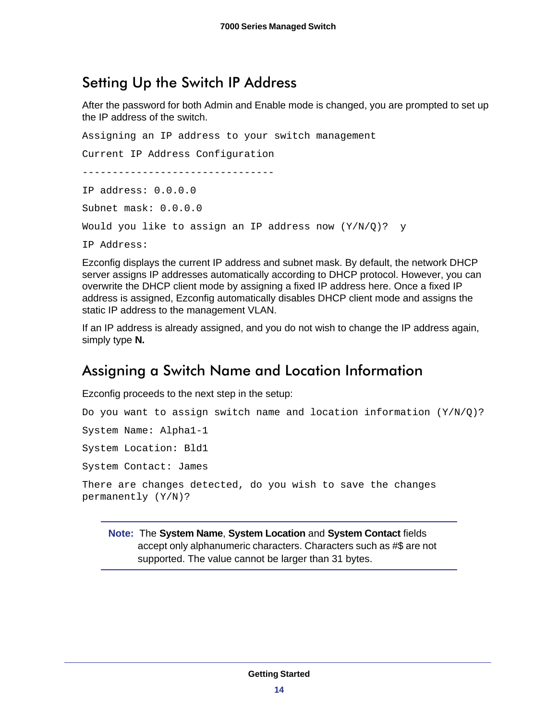#### <span id="page-13-0"></span>Setting Up the Switch IP Address

<span id="page-13-2"></span>After the password for both Admin and Enable mode is changed, you are prompted to set up the IP address of the switch.

Assigning an IP address to your switch management Current IP Address Configuration -------------------------------- IP address: 0.0.0.0 Subnet mask: 0.0.0.0 Would you like to assign an IP address now (Y/N/Q)? y IP Address:

Ezconfig displays the current IP address and subnet mask. By default, the network DHCP server assigns IP addresses automatically according to DHCP protocol. However, you can overwrite the DHCP client mode by assigning a fixed IP address here. Once a fixed IP address is assigned, Ezconfig automatically disables DHCP client mode and assigns the static IP address to the management VLAN.

If an IP address is already assigned, and you do not wish to change the IP address again, simply type **N.**

#### <span id="page-13-3"></span><span id="page-13-1"></span>Assigning a Switch Name and Location Information

Ezconfig proceeds to the next step in the setup:

```
Do you want to assign switch name and location information (Y/N/Q)?
System Name: Alpha1-1
System Location: Bld1
System Contact: James
There are changes detected, do you wish to save the changes 
permanently (Y/N)?
```
**Note:** The **System Name**, **System Location** and **System Contact** fields accept only alphanumeric characters. Characters such as #\$ are not supported. The value cannot be larger than 31 bytes.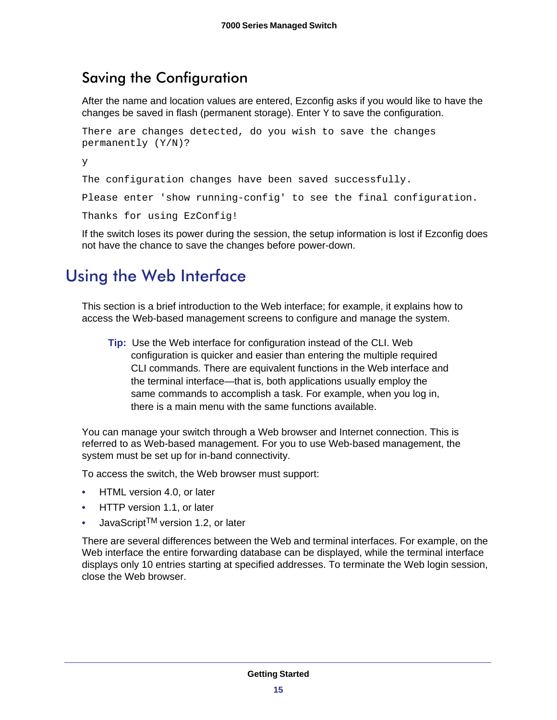#### <span id="page-14-0"></span>Saving the Configuration

<span id="page-14-2"></span>After the name and location values are entered, Ezconfig asks if you would like to have the changes be saved in flash (permanent storage). Enter  *to save the configuration.* 

```
There are changes detected, do you wish to save the changes 
permanently (Y/N)?
y
```
The configuration changes have been saved successfully.

Please enter 'show running-config' to see the final configuration.

Thanks for using EzConfig!

<span id="page-14-3"></span>If the switch loses its power during the session, the setup information is lost if Ezconfig does not have the chance to save the changes before power-down.

# <span id="page-14-1"></span>Using the Web Interface

This section is a brief introduction to the Web interface; for example, it explains how to access the Web-based management screens to configure and manage the system.

**Tip:** Use the Web interface for configuration instead of the CLI. Web configuration is quicker and easier than entering the multiple required CLI commands. There are equivalent functions in the Web interface and the terminal interface—that is, both applications usually employ the same commands to accomplish a task. For example, when you log in, there is a main menu with the same functions available.

You can manage your switch through a Web browser and Internet connection. This is referred to as Web-based management. For you to use Web-based management, the system must be set up for in-band connectivity.

To access the switch, the Web browser must support:

- HTML version 4.0, or later
- HTTP version 1.1, or later
- JavaScriptTM version 1.2, or later

There are several differences between the Web and terminal interfaces. For example, on the Web interface the entire forwarding database can be displayed, while the terminal interface displays only 10 entries starting at specified addresses. To terminate the Web login session, close the Web browser.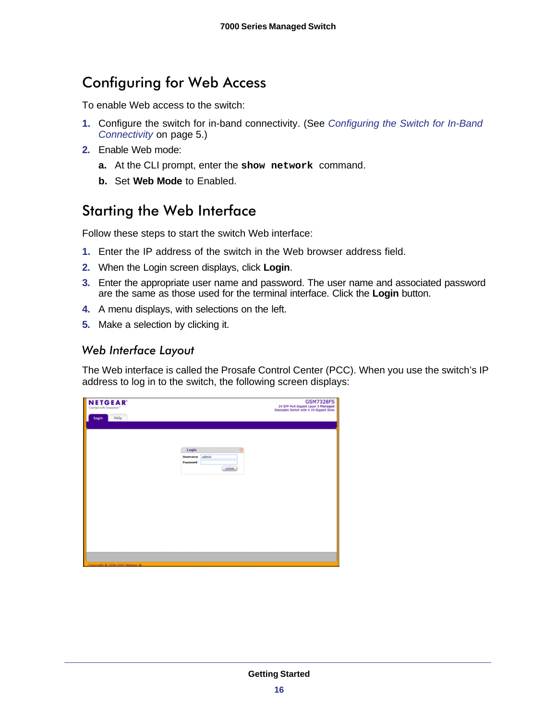# <span id="page-15-0"></span>Configuring for Web Access

To enable Web access to the switch:

- **1.** Configure the switch for in-band connectivity. (See *[Configuring the Switch for In-Band](#page-4-2)  [Connectivity](#page-4-2)* on page 5.)
- **2.** Enable Web mode:
	- **a.** At the CLI prompt, enter the **show network** command.
	- **b.** Set **Web Mode** to Enabled.

#### <span id="page-15-1"></span>Starting the Web Interface

Follow these steps to start the switch Web interface:

- **1.** Enter the IP address of the switch in the Web browser address field.
- **2.** When the Login screen displays, click **Login**.
- **3.** Enter the appropriate user name and password. The user name and associated password are the same as those used for the terminal interface. Click the **Login** button.
- **4.** A menu displays, with selections on the left.
- <span id="page-15-2"></span>**5.** Make a selection by clicking it.

*Web Interface Layout* The Web interface is called the Prosafe Control Center (PCC). When you use the switch's IP address to log in to the switch, the following screen displays:

| <b>NETGEAR</b><br>Connect with Innovation" |                               | <b>GSM7328FS</b><br>24 SFP Port Gigabit Layer 3 Managed<br>Stackable Switch with 4 10-Gigabit Slots |
|--------------------------------------------|-------------------------------|-----------------------------------------------------------------------------------------------------|
| Help<br>Login                              |                               |                                                                                                     |
|                                            |                               |                                                                                                     |
|                                            |                               |                                                                                                     |
|                                            | Login<br>$\circ$              |                                                                                                     |
|                                            | admin<br>Username<br>Password |                                                                                                     |
|                                            | LOGIN                         |                                                                                                     |
|                                            |                               |                                                                                                     |
|                                            |                               |                                                                                                     |
|                                            |                               |                                                                                                     |
|                                            |                               |                                                                                                     |
|                                            |                               |                                                                                                     |
|                                            |                               |                                                                                                     |
|                                            |                               |                                                                                                     |
|                                            |                               |                                                                                                     |
| Copyright @ 1996-2007 Netpear @            |                               |                                                                                                     |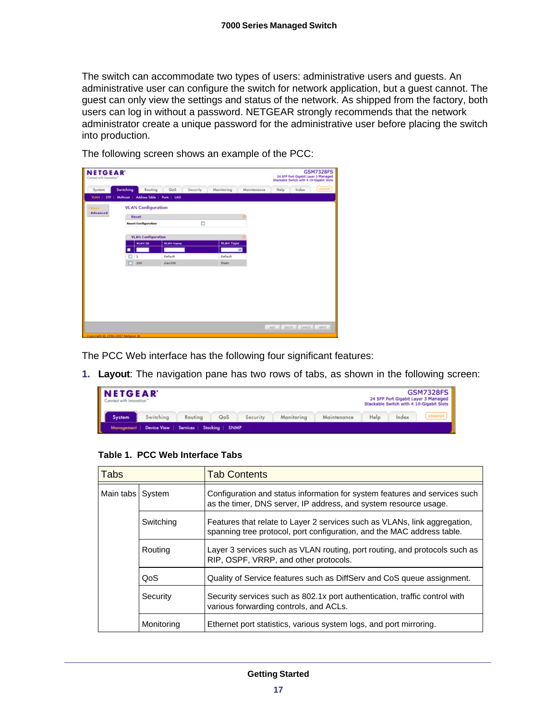The switch can accommodate two types of users: administrative users and guests. An administrative user can configure the switch for network application, but a guest cannot. The guest can only view the settings and status of the network. As shipped from the factory, both users can log in without a password. NETGEAR strongly recommends that the network administrator create a unique password for the administrative user before placing the switch into production.

| <b>NETGEAR</b><br>Connect with Innovation" |                                      |                  |                        |              | 24 SFP Port Gigabit Layer 3 Managed<br>Stackable Switch with 4 10-Gigabit Slots | <b>GSM7328FS</b> |
|--------------------------------------------|--------------------------------------|------------------|------------------------|--------------|---------------------------------------------------------------------------------|------------------|
| System                                     | Switching<br>Routing                 | QoS              | Security<br>Monitoring | Maintenance  | Help<br>Index                                                                   | <b>LOCOUT</b>    |
| VLAN  <br><b>STP</b>                       | Address Table<br>Multicout           | Ports   LAG      |                        |              |                                                                                 |                  |
| <b>vBasic</b>                              | <b>VLAN Configuration</b>            |                  |                        |              |                                                                                 |                  |
| <b>Advanced</b>                            | Reset                                |                  |                        | $\sigma$     |                                                                                 |                  |
|                                            | <b>Reset Configuration</b>           |                  | O                      |              |                                                                                 |                  |
|                                            |                                      |                  |                        |              |                                                                                 |                  |
|                                            | <b>VLAN Configuration</b><br>VLAN ID | <b>VLAN Name</b> | <b>VLAN Type</b>       |              |                                                                                 |                  |
|                                            |                                      |                  |                        | $\mathbf{v}$ |                                                                                 |                  |
|                                            | □<br>1                               | Default          | Default                |              |                                                                                 |                  |
|                                            | ◻<br>200                             | $v$ lan200       | Static                 |              |                                                                                 |                  |
|                                            |                                      |                  |                        |              |                                                                                 |                  |
|                                            |                                      |                  |                        |              |                                                                                 |                  |
|                                            |                                      |                  |                        |              |                                                                                 |                  |
|                                            |                                      |                  |                        |              |                                                                                 |                  |
|                                            |                                      |                  |                        |              |                                                                                 |                  |
|                                            |                                      |                  |                        |              |                                                                                 |                  |
|                                            |                                      |                  |                        |              |                                                                                 |                  |
|                                            |                                      |                  |                        |              | pours of<br>ADD.                                                                | CANCEL APPLY     |

The following screen shows an example of the PCC:

The PCC Web interface has the following four significant features:

**1. Layout**: The navigation pane has two rows of tabs, as shown in the following screen:

| <b>NETGEAR</b><br>Connect with Innovation"            |           | <b>GSM7328FS</b><br>24 SFP Port Gigabit Layer 3 Managed<br>Stackable Switch with 4 10-Gigabit Slots |     |          |            |             |      |       |               |  |  |
|-------------------------------------------------------|-----------|-----------------------------------------------------------------------------------------------------|-----|----------|------------|-------------|------|-------|---------------|--|--|
| System                                                | Switching | Routing                                                                                             | QoS | Security | Monitoring | Maintenance | Help | Index | <b>LOGOUT</b> |  |  |
| Management   Device View   Services   Stacking   SNMP |           |                                                                                                     |     |          |            |             |      |       |               |  |  |

**Table 1. PCC Web Interface Tabs** 

| <b>Tabs</b>        |            | <b>Tab Contents</b>                                                                                                                                 |
|--------------------|------------|-----------------------------------------------------------------------------------------------------------------------------------------------------|
| Main tabs   System |            | Configuration and status information for system features and services such<br>as the timer, DNS server, IP address, and system resource usage.      |
|                    | Switching  | Features that relate to Layer 2 services such as VLANs, link aggregation,<br>spanning tree protocol, port configuration, and the MAC address table. |
|                    | Routing    | Layer 3 services such as VLAN routing, port routing, and protocols such as<br>RIP, OSPF, VRRP, and other protocols.                                 |
|                    | QoS        | Quality of Service features such as DiffServ and CoS queue assignment.                                                                              |
|                    | Security   | Security services such as 802.1x port authentication, traffic control with<br>various forwarding controls, and ACLs.                                |
|                    | Monitoring | Ethernet port statistics, various system logs, and port mirroring.                                                                                  |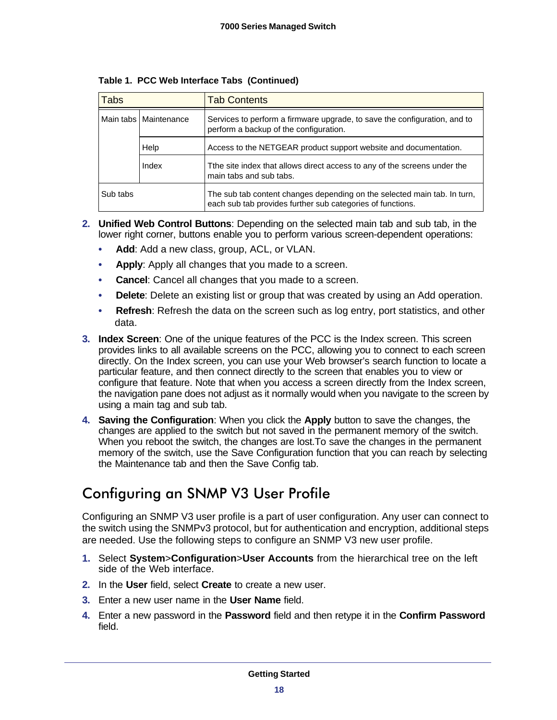| <b>Tabs</b> |                         | <b>Tab Contents</b>                                                                                                                    |  |  |  |  |  |
|-------------|-------------------------|----------------------------------------------------------------------------------------------------------------------------------------|--|--|--|--|--|
|             | Main tabs   Maintenance | Services to perform a firmware upgrade, to save the configuration, and to<br>perform a backup of the configuration.                    |  |  |  |  |  |
|             | Help                    | Access to the NETGEAR product support website and documentation.                                                                       |  |  |  |  |  |
|             | Index                   | The site index that allows direct access to any of the screens under the<br>main tabs and sub tabs.                                    |  |  |  |  |  |
| Sub tabs    |                         | The sub tab content changes depending on the selected main tab. In turn,<br>each sub tab provides further sub categories of functions. |  |  |  |  |  |

**Table 1. PCC Web Interface Tabs (Continued)**

- **2. Unified Web Control Buttons**: Depending on the selected main tab and sub tab, in the lower right corner, buttons enable you to perform various screen-dependent operations:
	- **Add**: Add a new class, group, ACL, or VLAN.
	- **Apply**: Apply all changes that you made to a screen.
	- **Cancel**: Cancel all changes that you made to a screen.
	- **Delete**: Delete an existing list or group that was created by using an Add operation.
	- **Refresh**: Refresh the data on the screen such as log entry, port statistics, and other data.
- **3. Index Screen**: One of the unique features of the PCC is the Index screen. This screen provides links to all available screens on the PCC, allowing you to connect to each screen directly. On the Index screen, you can use your Web browser's search function to locate a particular feature, and then connect directly to the screen that enables you to view or configure that feature. Note that when you access a screen directly from the Index screen, the navigation pane does not adjust as it normally would when you navigate to the screen by using a main tag and sub tab.
- <span id="page-17-2"></span>**4. Saving the Configuration**: When you click the **Apply** button to save the changes, the changes are applied to the switch but not saved in the permanent memory of the switch. When you reboot the switch, the changes are lost.To save the changes in the permanent memory of the switch, use the Save Configuration function that you can reach by selecting the Maintenance tab and then the Save Config tab.

# <span id="page-17-0"></span>Configuring an SNMP V3 User Profile

<span id="page-17-1"></span>Configuring an SNMP V3 user profile is a part of user configuration. Any user can connect to the switch using the SNMPv3 protocol, but for authentication and encryption, additional steps are needed. Use the following steps to configure an SNMP V3 new user profile.

- **1.** Select **System**>**Configuration**>**User Accounts** from the hierarchical tree on the left side of the Web interface.
- **2.** In the **User** field, select **Create** to create a new user.
- **3.** Enter a new user name in the **User Name** field.
- **4.** Enter a new password in the **Password** field and then retype it in the **Confirm Password** field.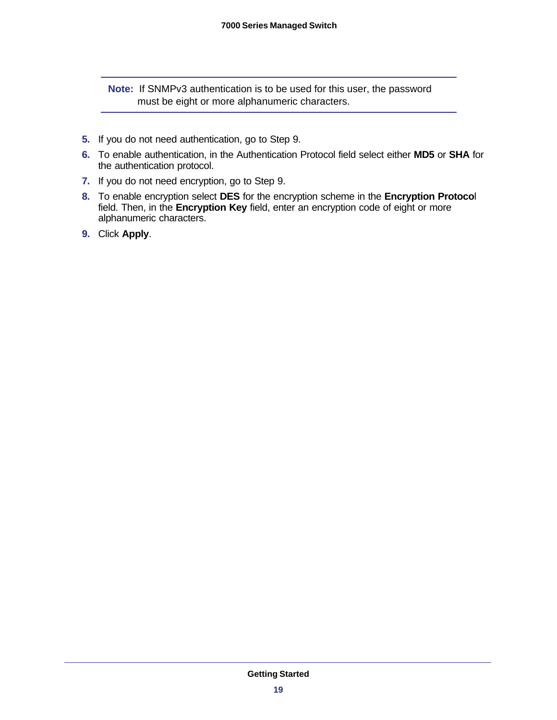**Note:** If SNMPv3 authentication is to be used for this user, the password must be eight or more alphanumeric characters.

- **5.** If you do not need authentication, go to [Step 9.](#page-18-0)
- **6.** To enable authentication, in the Authentication Protocol field select either **MD5** or **SHA** for the authentication protocol.
- **7.** If you do not need encryption, go to [Step 9](#page-18-0).
- **8.** To enable encryption select **DES** for the encryption scheme in the **Encryption Protoco**l field. Then, in the **Encryption Key** field, enter an encryption code of eight or more alphanumeric characters.
- <span id="page-18-0"></span>**9.** Click **Apply**.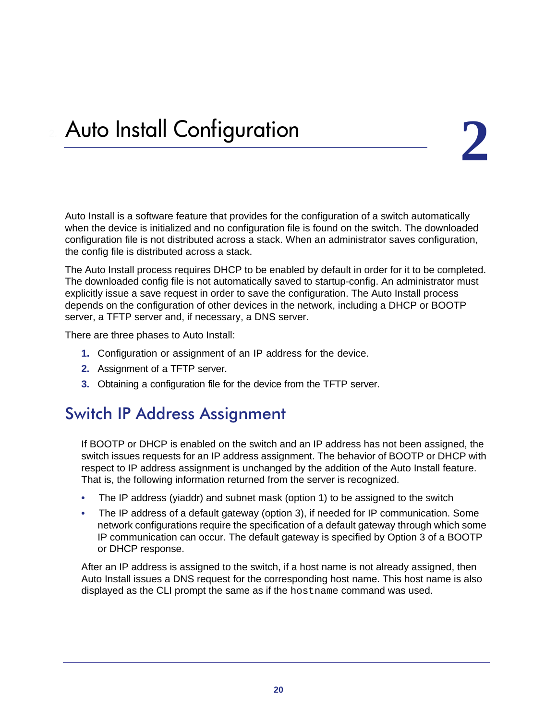<span id="page-19-0"></span>Auto Install is a software feature that provides for the configuration of a switch automatically when the device is initialized and no configuration file is found on the switch. The downloaded configuration file is not distributed across a stack. When an administrator saves configuration, the config file is distributed across a stack.

The Auto Install process requires DHCP to be enabled by default in order for it to be completed. The downloaded config file is not automatically saved to startup-config. An administrator must explicitly issue a save request in order to save the configuration. The Auto Install process depends on the configuration of other devices in the network, including a DHCP or BOOTP server, a TFTP server and, if necessary, a DNS server.

There are three phases to Auto Install:

- **1.** Configuration or assignment of an IP address for the device.
- **2.** Assignment of a TFTP server.
- **3.** Obtaining a configuration file for the device from the TFTP server.

# <span id="page-19-2"></span><span id="page-19-1"></span>Switch IP Address Assignment

If BOOTP or DHCP is enabled on the switch and an IP address has not been assigned, the switch issues requests for an IP address assignment. The behavior of BOOTP or DHCP with respect to IP address assignment is unchanged by the addition of the Auto Install feature. That is, the following information returned from the server is recognized.

- The IP address (yiaddr) and subnet mask (option 1) to be assigned to the switch
- The IP address of a default gateway (option 3), if needed for IP communication. Some network configurations require the specification of a default gateway through which some IP communication can occur. The default gateway is specified by Option 3 of a BOOTP or DHCP response.

After an IP address is assigned to the switch, if a host name is not already assigned, then Auto Install issues a DNS request for the corresponding host name. This host name is also displayed as the CLI prompt the same as if the hostname command was used.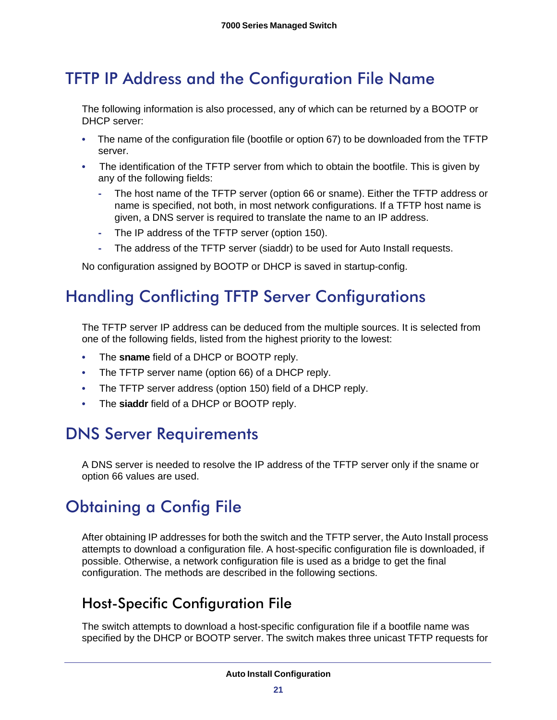# <span id="page-20-0"></span>TFTP IP Address and the Configuration File Name

The following information is also processed, any of which can be returned by a BOOTP or DHCP server:

- The name of the configuration file (bootfile or option 67) to be downloaded from the TFTP server.
- The identification of the TFTP server from which to obtain the bootfile. This is given by any of the following fields:
	- **-** The host name of the TFTP server (option 66 or sname). Either the TFTP address or name is specified, not both, in most network configurations. If a TFTP host name is given, a DNS server is required to translate the name to an IP address.
	- **-** The IP address of the TFTP server (option 150).
	- **-** The address of the TFTP server (siaddr) to be used for Auto Install requests.

No configuration assigned by BOOTP or DHCP is saved in startup-config.

# <span id="page-20-1"></span>Handling Conflicting TFTP Server Configurations

The TFTP server IP address can be deduced from the multiple sources. It is selected from one of the following fields, listed from the highest priority to the lowest:

- The **sname** field of a DHCP or BOOTP reply.
- The TFTP server name (option 66) of a DHCP reply.
- The TFTP server address (option 150) field of a DHCP reply.
- The **siaddr** field of a DHCP or BOOTP reply.

# <span id="page-20-2"></span>DNS Server Requirements

<span id="page-20-5"></span>A DNS server is needed to resolve the IP address of the TFTP server only if the sname or option 66 values are used.

# <span id="page-20-3"></span>Obtaining a Config File

After obtaining IP addresses for both the switch and the TFTP server, the Auto Install process attempts to download a configuration file. A host-specific configuration file is downloaded, if possible. Otherwise, a network configuration file is used as a bridge to get the final configuration. The methods are described in the following sections.

#### <span id="page-20-4"></span>Host-Specific Configuration File

The switch attempts to download a host-specific configuration file if a bootfile name was specified by the DHCP or BOOTP server. The switch makes three unicast TFTP requests for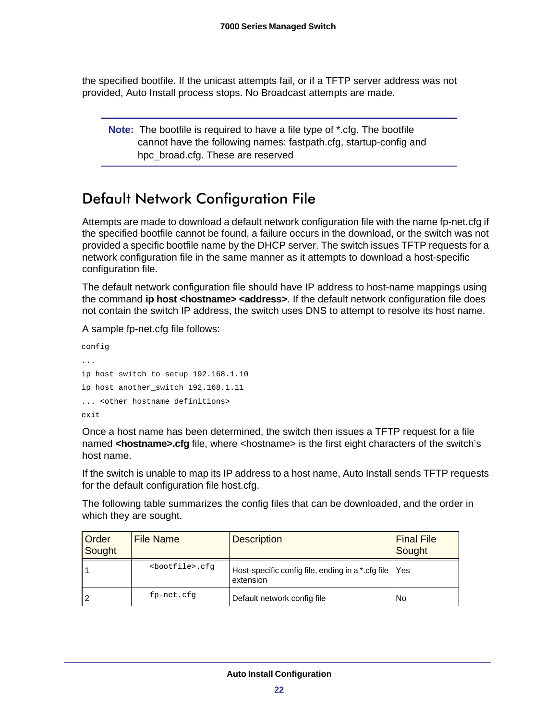the specified bootfile. If the unicast attempts fail, or if a TFTP server address was not provided, Auto Install process stops. No Broadcast attempts are made.

**Note:** The bootfile is required to have a file type of \*.cfg. The bootfile cannot have the following names: fastpath.cfg, startup-config and hpc\_broad.cfg. These are reserved

### <span id="page-21-0"></span>Default Network Configuration File

Attempts are made to download a default network configuration file with the name fp-net.cfg if the specified bootfile cannot be found, a failure occurs in the download, or the switch was not provided a specific bootfile name by the DHCP server. The switch issues TFTP requests for a network configuration file in the same manner as it attempts to download a host-specific configuration file.

The default network configuration file should have IP address to host-name mappings using the command **ip host <hostname> <address>**. If the default network configuration file does not contain the switch IP address, the switch uses DNS to attempt to resolve its host name.

A sample fp-net.cfg file follows:

config ... ip host switch\_to\_setup 192.168.1.10 ip host another\_switch 192.168.1.11 ... <other hostname definitions> exit

Once a host name has been determined, the switch then issues a TFTP request for a file named **<hostname>.cfg** file, where <hostname> is the first eight characters of the switch's host name.

If the switch is unable to map its IP address to a host name, Auto Install sends TFTP requests for the default configuration file host.cfg.

The following table summarizes the config files that can be downloaded, and the order in which they are sought.

| Order<br>Sought | File Name                 | <b>Description</b>                                               | <b>Final File</b><br>Sought |
|-----------------|---------------------------|------------------------------------------------------------------|-----------------------------|
|                 | <bootfile>.cfq</bootfile> | Host-specific config file, ending in a *.cfg file  <br>extension | Yes                         |
| 2               | fp-net.cfg                | Default network config file                                      | No                          |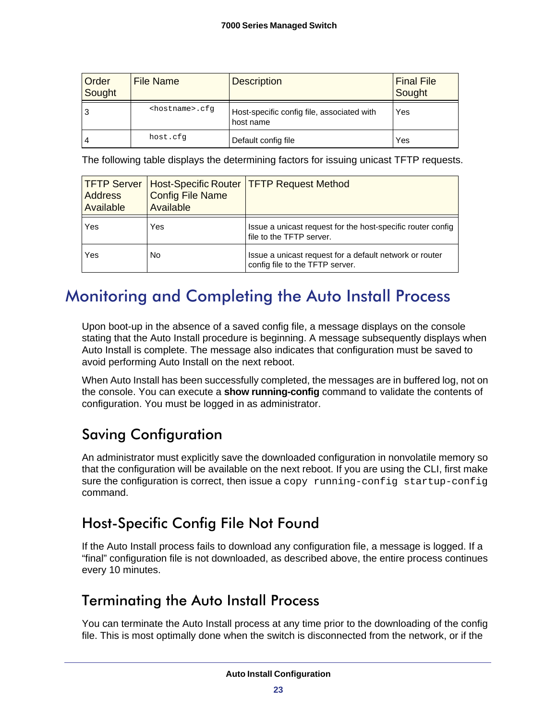| Order<br>Sought | <b>File Name</b>          | <b>Description</b>                                      | <b>Final File</b><br>Sought |
|-----------------|---------------------------|---------------------------------------------------------|-----------------------------|
| 3               | <hostname>.cfq</hostname> | Host-specific config file, associated with<br>host name | Yes                         |
| 4               | host.cfq                  | Default config file                                     | Yes                         |

The following table displays the determining factors for issuing unicast TFTP requests.

| <b>TFTP Server</b><br><b>Address</b><br>Available | <b>Config File Name</b><br>Available | <b>Host-Specific Router   TFTP Request Method</b>                                          |
|---------------------------------------------------|--------------------------------------|--------------------------------------------------------------------------------------------|
| Yes                                               | Yes                                  | Issue a unicast request for the host-specific router config<br>file to the TFTP server.    |
| Yes                                               | No                                   | Issue a unicast request for a default network or router<br>config file to the TFTP server. |

# <span id="page-22-0"></span>Monitoring and Completing the Auto Install Process

<span id="page-22-4"></span>Upon boot-up in the absence of a saved config file, a message displays on the console stating that the Auto Install procedure is beginning. A message subsequently displays when Auto Install is complete. The message also indicates that configuration must be saved to avoid performing Auto Install on the next reboot.

When Auto Install has been successfully completed, the messages are in buffered log, not on the console. You can execute a **show running-config** command to validate the contents of configuration. You must be logged in as administrator.

# <span id="page-22-1"></span>Saving Configuration

An administrator must explicitly save the downloaded configuration in nonvolatile memory so that the configuration will be available on the next reboot. If you are using the CLI, first make sure the configuration is correct, then issue a copy running-config startup-config command.

#### <span id="page-22-2"></span>Host-Specific Config File Not Found

If the Auto Install process fails to download any configuration file, a message is logged. If a "final" configuration file is not downloaded, as described above, the entire process continues every 10 minutes.

#### <span id="page-22-3"></span>Terminating the Auto Install Process

You can terminate the Auto Install process at any time prior to the downloading of the config file. This is most optimally done when the switch is disconnected from the network, or if the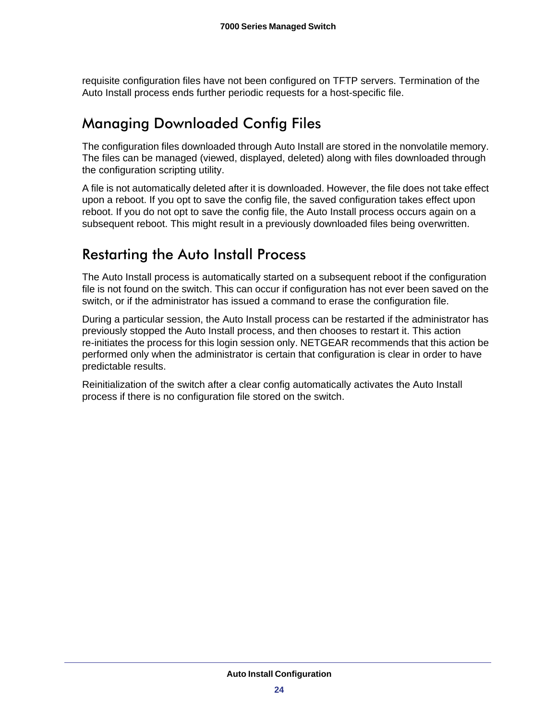requisite configuration files have not been configured on TFTP servers. Termination of the Auto Install process ends further periodic requests for a host-specific file.

#### <span id="page-23-0"></span>Managing Downloaded Config Files

The configuration files downloaded through Auto Install are stored in the nonvolatile memory. The files can be managed (viewed, displayed, deleted) along with files downloaded through the configuration scripting utility.

A file is not automatically deleted after it is downloaded. However, the file does not take effect upon a reboot. If you opt to save the config file, the saved configuration takes effect upon reboot. If you do not opt to save the config file, the Auto Install process occurs again on a subsequent reboot. This might result in a previously downloaded files being overwritten.

#### <span id="page-23-1"></span>Restarting the Auto Install Process

The Auto Install process is automatically started on a subsequent reboot if the configuration file is not found on the switch. This can occur if configuration has not ever been saved on the switch, or if the administrator has issued a command to erase the configuration file.

During a particular session, the Auto Install process can be restarted if the administrator has previously stopped the Auto Install process, and then chooses to restart it. This action re-initiates the process for this login session only. NETGEAR recommends that this action be performed only when the administrator is certain that configuration is clear in order to have predictable results.

Reinitialization of the switch after a clear config automatically activates the Auto Install process if there is no configuration file stored on the switch.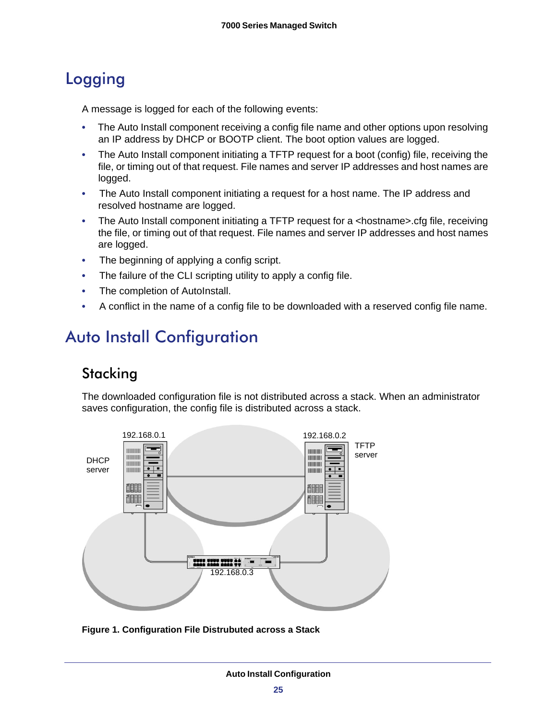# <span id="page-24-3"></span><span id="page-24-0"></span>Logging

A message is logged for each of the following events:

- The Auto Install component receiving a config file name and other options upon resolving an IP address by DHCP or BOOTP client. The boot option values are logged.
- The Auto Install component initiating a TFTP request for a boot (config) file, receiving the file, or timing out of that request. File names and server IP addresses and host names are logged.
- The Auto Install component initiating a request for a host name. The IP address and resolved hostname are logged.
- The Auto Install component initiating a TFTP request for a <hostname>.cfg file, receiving the file, or timing out of that request. File names and server IP addresses and host names are logged.
- The beginning of applying a config script.
- The failure of the CLI scripting utility to apply a config file.
- The completion of AutoInstall.
- A conflict in the name of a config file to be downloaded with a reserved config file name.

# <span id="page-24-1"></span>Auto Install Configuration

#### <span id="page-24-4"></span><span id="page-24-2"></span>**Stacking**

The downloaded configuration file is not distributed across a stack. When an administrator saves configuration, the config file is distributed across a stack.



**Figure 1. Configuration File Distrubuted across a Stack**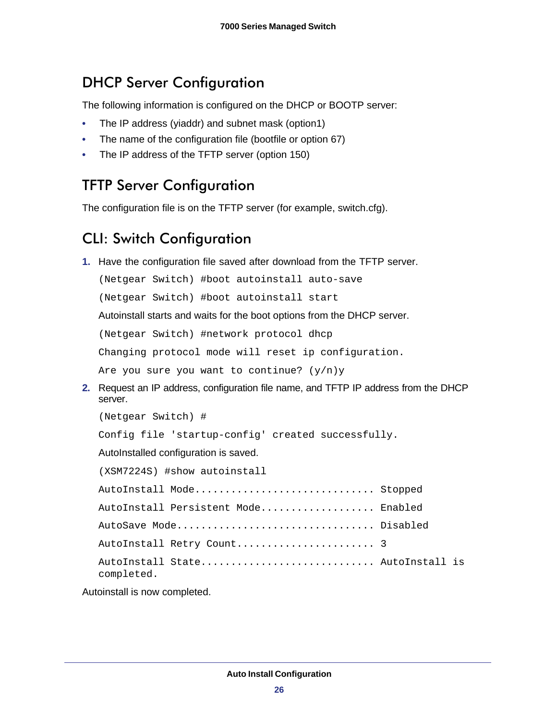# <span id="page-25-0"></span>DHCP Server Configuration

The following information is configured on the DHCP or BOOTP server:

- The IP address (yiaddr) and subnet mask (option1)
- The name of the configuration file (bootfile or option 67)
- The IP address of the TFTP server (option 150)

#### <span id="page-25-1"></span>TFTP Server Configuration

The configuration file is on the TFTP server (for example, switch.cfg).

# <span id="page-25-2"></span>CLI: Switch Configuration

**1.** Have the configuration file saved after download from the TFTP server.

(Netgear Switch) #boot autoinstall auto-save

(Netgear Switch) #boot autoinstall start

Autoinstall starts and waits for the boot options from the DHCP server.

(Netgear Switch) #network protocol dhcp

Changing protocol mode will reset ip configuration.

Are you sure you want to continue?  $(y/n)y$ 

**2.** Request an IP address, configuration file name, and TFTP IP address from the DHCP server.

(Netgear Switch) #

Config file 'startup-config' created successfully.

AutoInstalled configuration is saved.

| (XSM7224S) #show autoinstall                   |  |
|------------------------------------------------|--|
| AutoInstall Mode Stopped                       |  |
| AutoInstall Persistent Mode Enabled            |  |
| AutoSave Mode Disabled                         |  |
| AutoInstall Retry Count 3                      |  |
| AutoInstall State AutoInstall is<br>completed. |  |

Autoinstall is now completed.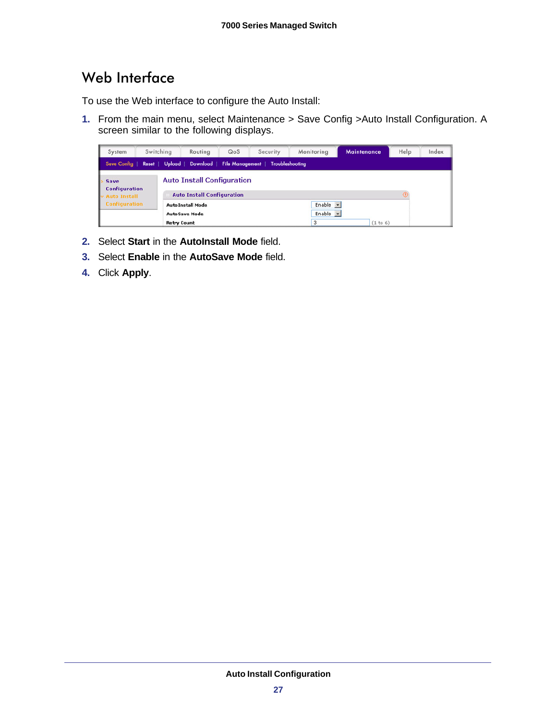### <span id="page-26-1"></span><span id="page-26-0"></span>Web Interface

To use the Web interface to configure the Auto Install:

**1.** From the main menu, select Maintenance > Save Config >Auto Install Configuration. A screen similar to the following displays.

| System                                              |  | Switching          | Routing                                                                | QoS                        | Security | Monitoring                           | <b>Maintenance</b> | Help | Index |
|-----------------------------------------------------|--|--------------------|------------------------------------------------------------------------|----------------------------|----------|--------------------------------------|--------------------|------|-------|
| Save Config                                         |  | Rosot   Upload     |                                                                        | Download   File Management |          | Troubleshooting                      |                    |      |       |
| Save<br><b>Configuration</b><br><b>Auto Install</b> |  |                    | <b>Auto Install Configuration</b><br><b>Auto Install Configuration</b> |                            |          |                                      |                    |      |       |
| <b>Configuration</b>                                |  | <b>Retry Count</b> | <b>AutoInstall Mode</b><br><b>AutoSave Mode</b>                        |                            |          | Enable $\mathbf{v}$<br>Enable -<br>٠ | (1 to 6)           |      |       |

- **2.** Select **Start** in the **AutoInstall Mode** field.
- **3.** Select **Enable** in the **AutoSave Mode** field.
- **4.** Click **Apply**.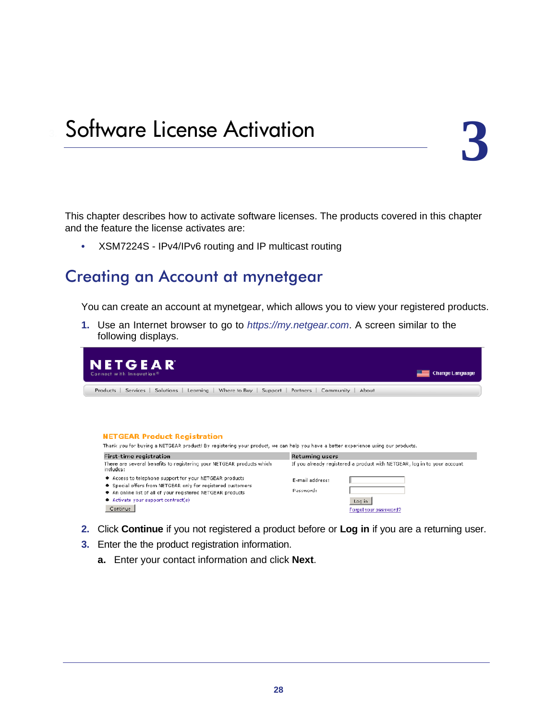# <span id="page-27-0"></span>Software License Activation

This chapter describes how to activate software licenses. The products covered in this chapter and the feature the license activates are:

**•** XSM7224S - IPv4/IPv6 routing and IP multicast routing

#### <span id="page-27-1"></span>Creating an Account at mynetgear

You can create an account at mynetgear, which allows you to view your registered products.

**1.** Use an Internet browser to go to *https://my.netgear.com*. A screen similar to the following displays.

| NETGEAR<br>Connect with Innovation <sup>8</sup>                                                                                                                          | <b>Change Language</b>                                                                             |
|--------------------------------------------------------------------------------------------------------------------------------------------------------------------------|----------------------------------------------------------------------------------------------------|
| Learning   Where to Buy   Support  <br>Services<br>Solutions<br>Products                                                                                                 | About<br>Partners<br>Community                                                                     |
|                                                                                                                                                                          |                                                                                                    |
| <b>NETGEAR Product Registration</b><br>Thank you for buying a NETGEAR product! By registering your product, we can help you have a better experience using our products, |                                                                                                    |
| <b>First-time registration</b><br>There are several benefits to registering your NETGEAR products which<br>includes:                                                     | <b>Returning users</b><br>If you already registered a product with NETGEAR, log in to your account |

- **2.** Click **Continue** if you not registered a product before or **Log in** if you are a returning user.
- **3.** Enter the the product registration information.
	- **a.** Enter your contact information and click **Next**.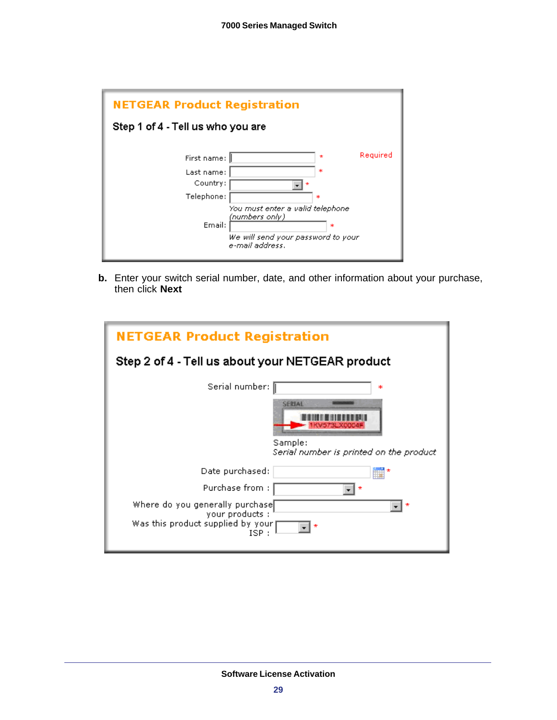

**b.** Enter your switch serial number, date, and other information about your purchase, then click **Next**

| <b>NETGEAR Product Registration</b>                                                             |  |  |  |  |
|-------------------------------------------------------------------------------------------------|--|--|--|--|
| Step 2 of 4 - Tell us about your NETGEAR product                                                |  |  |  |  |
| Serial number: [<br>ж                                                                           |  |  |  |  |
| <b>SERIAL</b><br>KVS/SEXOIO<br>Sample:<br>Serial number is printed on the product               |  |  |  |  |
| Date purchased:                                                                                 |  |  |  |  |
| Purchase from:                                                                                  |  |  |  |  |
| Where do you generally purchase<br>your products:<br>Was this product supplied by your<br>ISP : |  |  |  |  |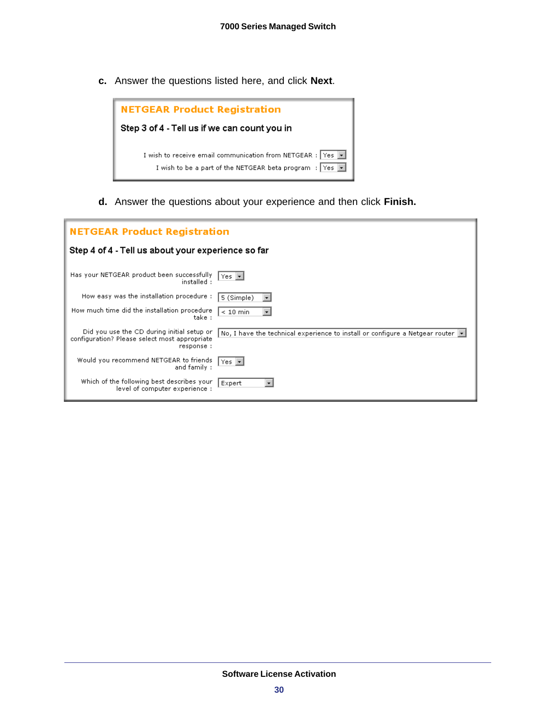**c.** Answer the questions listed here, and click **Next**.



**d.** Answer the questions about your experience and then click **Finish.**

| <b>NETGEAR Product Registration</b>                                                                       |                                                                                            |  |  |  |  |
|-----------------------------------------------------------------------------------------------------------|--------------------------------------------------------------------------------------------|--|--|--|--|
| Step 4 of 4 - Tell us about your experience so far                                                        |                                                                                            |  |  |  |  |
| Has your NETGEAR product been successfully<br>installed :                                                 | $Yes$ $\lnot$                                                                              |  |  |  |  |
| How easy was the installation procedure:                                                                  | 5 (Simple)                                                                                 |  |  |  |  |
| How much time did the installation procedure<br>take :                                                    | $\leq 10$ min                                                                              |  |  |  |  |
| Did you use the CD during initial setup or<br>configuration? Please select most appropriate<br>response : | No, I have the technical experience to install or configure a Netgear router $\  \cdot \ $ |  |  |  |  |
| Would you recommend NETGEAR to friends<br>and family :                                                    | $Yes$ $\star$                                                                              |  |  |  |  |
| Which of the following best describes your<br>level of computer experience :                              | Expert                                                                                     |  |  |  |  |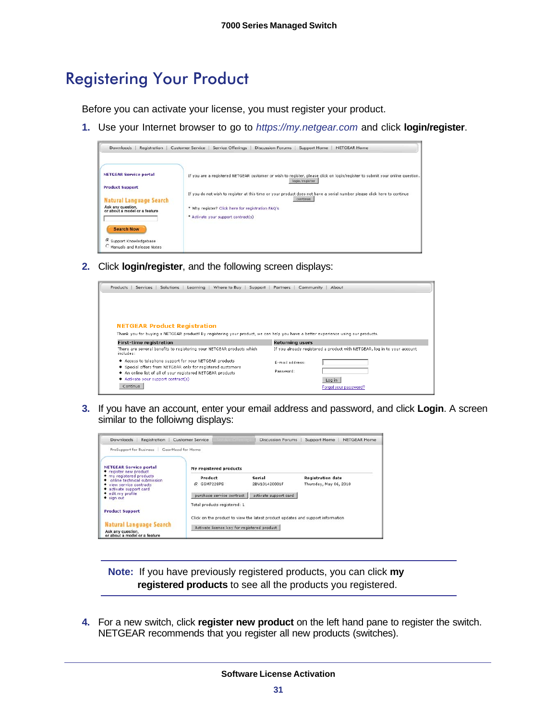# <span id="page-30-0"></span>Registering Your Product

Before you can activate your license, you must register your product.

**1.** Use your Internet browser to go to *https://my.netgear.com* and click **login/register**.



**2.** Click **login/register**, and the following screen displays:



**3.** If you have an account, enter your email address and password, and click **Login**. A screen similar to the folloiwng displays:

| <b>Downloods</b><br>Registration                                                                               | <b>Customer Service</b>                                                                                                        | <b>Discussion Forums</b> | Support Home<br><b>NETGEAR Home</b>                |
|----------------------------------------------------------------------------------------------------------------|--------------------------------------------------------------------------------------------------------------------------------|--------------------------|----------------------------------------------------|
| ProSupport for Business                                                                                        | GearHead for Home                                                                                                              |                          |                                                    |
| <b>NETGEAR Service portal</b><br>• register new product                                                        | My registered products                                                                                                         |                          |                                                    |
| • my registered products<br>online technical submission<br>• view service contracts<br>• activate support card | Product<br>G GSM7228PS                                                                                                         | Serial<br>2BV101420001F  | <b>Registration date</b><br>Thursday, May 06, 2010 |
| • edit my profile<br>• sign out                                                                                | purchase service contract                                                                                                      | activate support card    |                                                    |
|                                                                                                                | Total products registered: 1                                                                                                   |                          |                                                    |
| <b>Product Support</b><br>Natural Language Search<br>Ask any question,                                         | Click on the product to view the latest product updates and support information<br>Activate license key for registered product |                          |                                                    |

**Note:** If you have previously registered products, you can click **my registered products** to see all the products you registered.

**4.** For a new switch, click **register new product** on the left hand pane to register the switch. NETGEAR recommends that you register all new products (switches).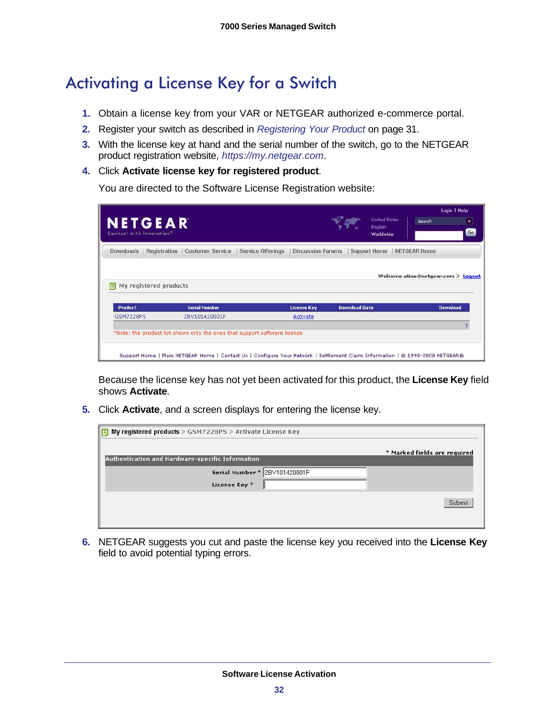# <span id="page-31-0"></span>Activating a License Key for a Switch

- **1.** Obtain a license key from your VAR or NETGEAR authorized e-commerce portal.
- **2.** Register your switch as described in *[Registering Your Product](#page-30-0)* on page 31.
- **3.** With the license key at hand and the serial number of the switch, go to the NETGEAR product registration website, *https://my.netgear.com*.
- **4.** Click **Activate license key for registered product**.

You are directed to the Software License Registration website:

| <b>NETGEAR</b><br>Connect with Innovation <sup>8</sup> |                                        |                          |                          |                      | <b>United States</b><br>English<br>Worldwide | Search              |                                    |
|--------------------------------------------------------|----------------------------------------|--------------------------|--------------------------|----------------------|----------------------------------------------|---------------------|------------------------------------|
| Downloads                                              | <b>Registration   Customer Service</b> | <b>Service Offerings</b> | <b>Discussion Forums</b> |                      | <b>Support Home</b>                          | <b>NETGEAR Home</b> |                                    |
|                                                        |                                        |                          |                          |                      |                                              |                     | Welcome atian@netgear.com > Logout |
| My registered products<br>Е.                           |                                        |                          |                          |                      |                                              |                     |                                    |
| <b>Product</b>                                         | <b>Serial Number</b>                   |                          | <b>License Key</b>       | <b>Download Date</b> |                                              |                     | <b>Download</b>                    |
|                                                        | 2BV101420001F                          |                          | Activate                 |                      |                                              |                     |                                    |
| <b>GSM7228PS</b>                                       |                                        |                          |                          |                      |                                              |                     |                                    |

Because the license key has not yet been activated for this product, the **License Key** field shows **Activate**.

**5.** Click **Activate**, and a screen displays for entering the license key.

| $\boxed{5}$ My registered products > GSM7228PS > Activate License Key |                              |
|-----------------------------------------------------------------------|------------------------------|
| Authentication and Hardware-specific Information                      | * Marked fields are required |
| Serial Number * 2BV101420001F<br>License Key *                        |                              |
|                                                                       | Submit                       |

**6.** NETGEAR suggests you cut and paste the license key you received into the **License Key** field to avoid potential typing errors.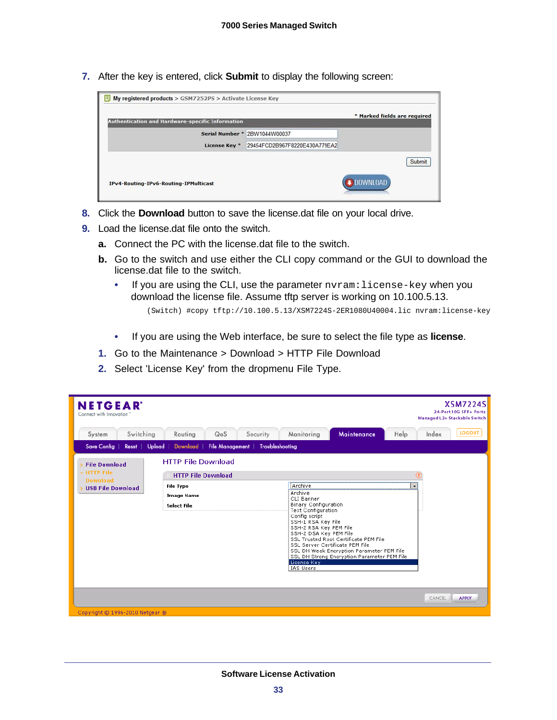**7.** After the key is entered, click **Submit** to display the following screen:

|                                                  |                               | * Marked fields are required |        |
|--------------------------------------------------|-------------------------------|------------------------------|--------|
| Authentication and Hardware-specific Information |                               |                              |        |
| Serial Number *                                  | 2BW1044W00037                 |                              |        |
| License Key <sup>*</sup>                         | 29454FCD2B967F8220E430A779EA2 |                              |        |
|                                                  |                               |                              | Submit |
| IPv4-Routing-IPv6-Routing-IPMulticast            |                               | <b>DOWNLOAD</b>              |        |

- **8.** Click the **Download** button to save the license.dat file on your local drive.
- **9.** Load the license.dat file onto the switch.
	- **a.** Connect the PC with the license.dat file to the switch.
	- **b.** Go to the switch and use either the CLI copy command or the GUI to download the license.dat file to the switch.
		- If you are using the CLI, use the parameter nvram: license-key when you download the license file. Assume tftp server is working on 10.100.5.13.

(Switch) #copy tftp://10.100.5.13/XSM7224S-2ER1080U40004.lic nvram:license-key

- If you are using the Web interface, be sure to select the file type as **license**.
- **1.** Go to the Maintenance > Download > HTTP File Download
- **2.** Select 'License Key' from the dropmenu File Type.

| <b>NETGEAR</b><br>Connect with Innovation"  |                                                        |                                                                                                                                                                                                                                                                                                                                                                                                    | <b>XSM7224S</b><br>24-Port 10G SFP+ Ports<br>Managed L2+ Stackable Switch |
|---------------------------------------------|--------------------------------------------------------|----------------------------------------------------------------------------------------------------------------------------------------------------------------------------------------------------------------------------------------------------------------------------------------------------------------------------------------------------------------------------------------------------|---------------------------------------------------------------------------|
| Switching<br>System                         | Routing<br>QoS<br>Security                             | Maintenance<br>Monitoring<br>Help                                                                                                                                                                                                                                                                                                                                                                  | <b>LOGOUT</b><br>Index                                                    |
| <b>Save Config</b><br>Upload  <br>Reset     | File Management<br><b>Troubleshooting</b><br>Download  |                                                                                                                                                                                                                                                                                                                                                                                                    |                                                                           |
| > File Download<br>v HTTP File              | <b>HTTP File Download</b><br><b>HTTP File Download</b> |                                                                                                                                                                                                                                                                                                                                                                                                    | $^{\circ}$                                                                |
| <b>Download</b><br><b>USB File Download</b> | <b>File Type</b><br><b>Image Name</b><br>Select File   | Archive<br>Archive<br>CLI Banner<br><b>Binary Configuration</b><br><b>Text Configuration</b><br>Config script<br>SSH-1 RSA Key File<br>SSH-2 RSA Key PEM File<br>SSH-2 DSA Key PEM File<br>SSL Trusted Root Certificate PEM File<br>SSL Server Certificate PEM File<br>SSL DH Weak Encryption Parameter PEM File<br>SSL DH Strong Encryption Parameter PEM File<br>License Key<br><b>IAS Users</b> | $\overline{\phantom{a}}$                                                  |
|                                             |                                                        |                                                                                                                                                                                                                                                                                                                                                                                                    | <b>APPLY</b><br>CANCEL                                                    |
| Copyright © 1996-2010 Netgear ®             |                                                        |                                                                                                                                                                                                                                                                                                                                                                                                    |                                                                           |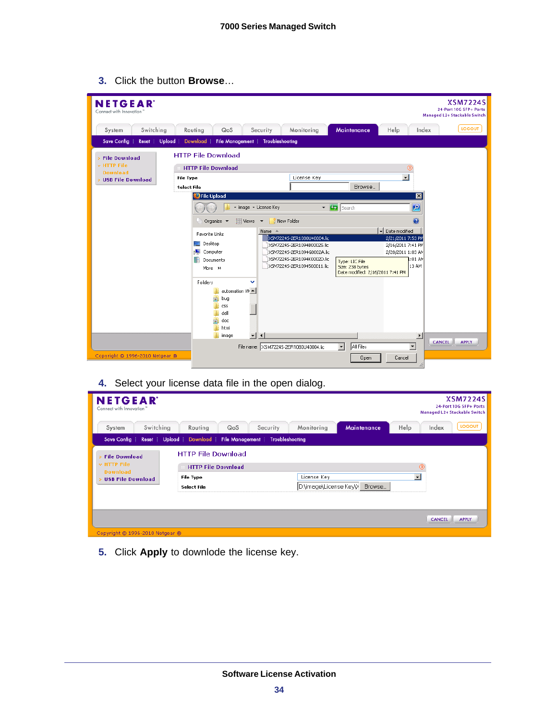**3.** Click the button **Browse**…

| <b>NETGEAR</b><br>Connect with Innovation'       |                 |                           |                               |                                                 |                                                          |                                                     |                                        | <b>XSM7224S</b><br>24-Port 10G SFP+ Ports<br>Managed L2+ Stackable Switch |
|--------------------------------------------------|-----------------|---------------------------|-------------------------------|-------------------------------------------------|----------------------------------------------------------|-----------------------------------------------------|----------------------------------------|---------------------------------------------------------------------------|
| System                                           | Switching       | Routing                   | QoS                           | Security                                        | Monitoring                                               | Maintenance                                         | Help                                   | <b>LOGOUT</b><br>Index                                                    |
| <b>Save Config</b>                               | Upload<br>Reset | Download                  | File Management               | Troubleshooting                                 |                                                          |                                                     |                                        |                                                                           |
| > File Download                                  |                 | <b>HTTP File Download</b> |                               |                                                 |                                                          |                                                     |                                        |                                                                           |
| » HTTP File                                      |                 | <b>HTTP File Download</b> |                               |                                                 |                                                          |                                                     | ⊚                                      |                                                                           |
| <b>Download</b><br><b>&gt; USB File Download</b> |                 | <b>File Type</b>          |                               |                                                 | $\overline{\phantom{a}}$<br>License Key                  |                                                     |                                        |                                                                           |
|                                                  |                 | Select File               |                               |                                                 |                                                          | Browse                                              |                                        |                                                                           |
|                                                  |                 | <b>P</b> File Upload      |                               |                                                 |                                                          |                                                     | $\overline{\mathbf{x}}$                |                                                                           |
|                                                  |                 |                           |                               | * image * License Key                           |                                                          | $\triangledown$ Search                              | $\mathbf{P}$                           |                                                                           |
|                                                  |                 |                           | Organize $\blacktriangledown$ |                                                 |                                                          |                                                     | 0                                      |                                                                           |
|                                                  |                 | Favorite Links            |                               | Name $-$                                        |                                                          |                                                     | Date modified                          |                                                                           |
|                                                  |                 | <b>Desktop</b>            |                               |                                                 | XSM72245-2ER1080U40004.lic<br>XSM7224S-2ER1094B00025.lic |                                                     | 2/21/2011 7:53 PM<br>2/16/2011 7:41 PM |                                                                           |
|                                                  |                 | Computer<br>تك            |                               |                                                 | XSM72245-2ER1094G0002A.lic                               |                                                     | 2/28/2011 1:03 AM                      |                                                                           |
|                                                  |                 |                           | Documents                     |                                                 | XSM72245-2ER1094K0002D.lic                               | Type: LIC File                                      | l:01 AM                                |                                                                           |
|                                                  |                 | More $\rightarrow$        |                               |                                                 | XSM7224S-2ER1094500011.lic                               | Size: 238 bytes<br>Date modified: 2/16/2011 7:41 PM | 13 AM                                  |                                                                           |
|                                                  |                 | Folders                   |                               | $\checkmark$                                    |                                                          |                                                     |                                        |                                                                           |
|                                                  |                 |                           | automation VM ▲               |                                                 |                                                          |                                                     |                                        |                                                                           |
|                                                  |                 |                           | m<br>bug                      |                                                 |                                                          |                                                     |                                        |                                                                           |
|                                                  |                 |                           | <b>CSS</b><br>dell            |                                                 |                                                          |                                                     |                                        |                                                                           |
|                                                  |                 |                           | 'n<br>doc                     |                                                 |                                                          |                                                     |                                        |                                                                           |
|                                                  |                 |                           | html                          |                                                 |                                                          |                                                     |                                        |                                                                           |
|                                                  |                 |                           | image                         | $\overline{\phantom{a}}$<br>$\vert \vert \vert$ |                                                          |                                                     | $\blacktriangleright$                  | <b>CANCEL</b><br><b>APPLY</b>                                             |
|                                                  |                 |                           |                               |                                                 | File name: XSM7224S-2ER1080U40004.lic                    | All Files<br>$\blacktriangledown$                   | $\overline{\phantom{a}}$               |                                                                           |
| Copyright @ 1996-2010 Netgear ®                  |                 |                           |                               |                                                 |                                                          | Open                                                | Cancel<br>//                           |                                                                           |

**4.** Select your license data file in the open dialog.

| <b>NETGEAR</b><br>Connect with Innovation"  |                                                        |                                                 | <b>XSM7224S</b><br>24-Port 10G SFP+ Ports<br>Managed L2+ Stackable Switch |
|---------------------------------------------|--------------------------------------------------------|-------------------------------------------------|---------------------------------------------------------------------------|
| Switching<br>System                         | Routing<br>QoS<br>Security                             | Monitoring<br>Maintenance                       | <b>LOGOUT</b><br>Help<br>Index                                            |
| Save Config                                 | Reset Upload Download File Management                  | Troubleshooting                                 |                                                                           |
| <b>File Download</b><br>$~\vee$ HTTP File   | <b>HTTP File Download</b><br><b>HTTP File Download</b> |                                                 | $\left( 2\right)$                                                         |
| <b>Download</b><br><b>USB File Download</b> | <b>File Type</b><br>Select File                        | License Key<br>D:\image\License Key\><br>Browse | $\overline{\phantom{a}}$                                                  |
|                                             |                                                        |                                                 |                                                                           |
|                                             |                                                        |                                                 | <b>APPLY</b><br><b>CANCEL</b>                                             |
| Copyright © 1996-2010 Netgear ®             |                                                        |                                                 |                                                                           |

**5.** Click **Apply** to downlode the license key.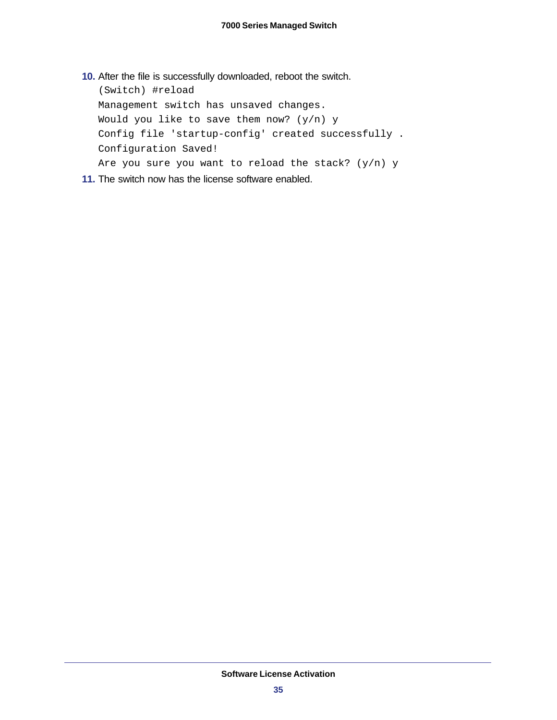**10.** After the file is successfully downloaded, reboot the switch.

(Switch) #reload Management switch has unsaved changes. Would you like to save them now?  $(y/n)$  y Config file 'startup-config' created successfully . Configuration Saved! Are you sure you want to reload the stack?  $(y/n)$  y

**11.** The switch now has the license software enabled.